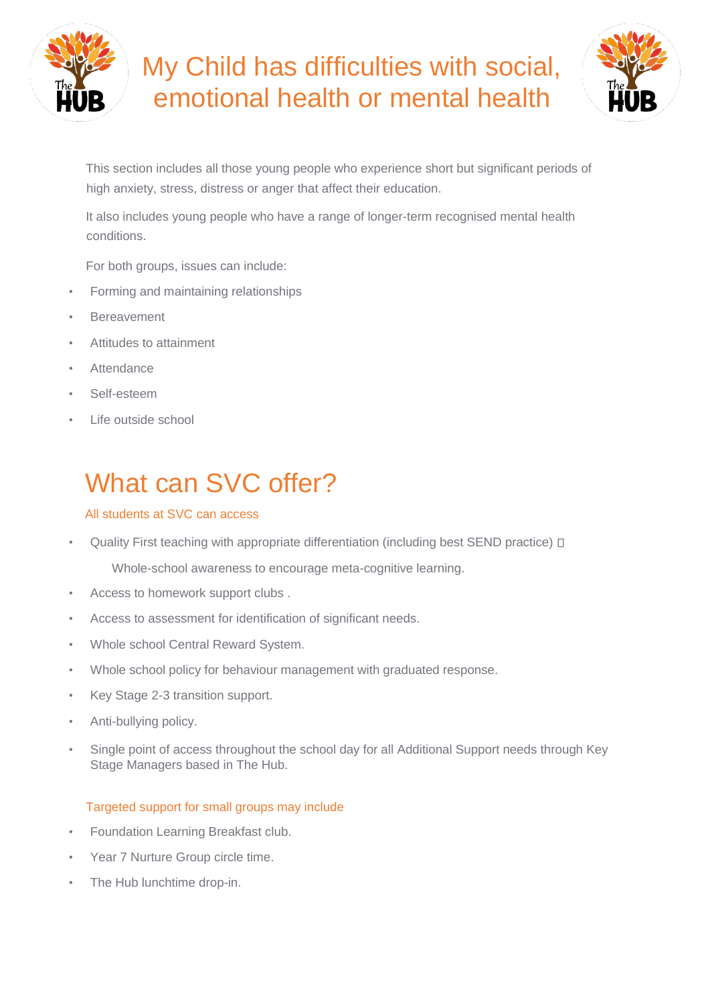

# My Child has difficulties with social, emotional health or mental health



This section includes all those young people who experience short but significant periods of high anxiety, stress, distress or anger that affect their education.

It also includes young people who have a range of longer-term recognised mental health conditions.

For both groups, issues can include:

- Forming and maintaining relationships
- **Bereavement**
- Attitudes to attainment
- **Attendance**
- Self-esteem
- Life outside school

# What can SVC offer?

#### All students at SVC can acces[s](http://sen.lampton.org.uk/social-emotional-health/)

• Quality First teaching with appropriate differentiation (including best SEND practice)  $\Box$ 

Whole-school awareness to encourage meta-cognitive learning.

- Access to homework support clubs .
- Access to assessment for identification of significant needs.
- Whole school Central Reward System.
- Whole school policy for behaviour management with graduated response.
- Key Stage 2-3 transition support.
- Anti-bullying policy.
- Single point of access throughout the school day for all Additional Support needs through Key Stage Managers based in The Hub.

### Targeted support for small groups may includ[e](http://sen.lampton.org.uk/social-emotional-health/)

- Foundation Learning Breakfast club.
- Year 7 Nurture Group circle time.
- The Hub lunchtime drop-in.